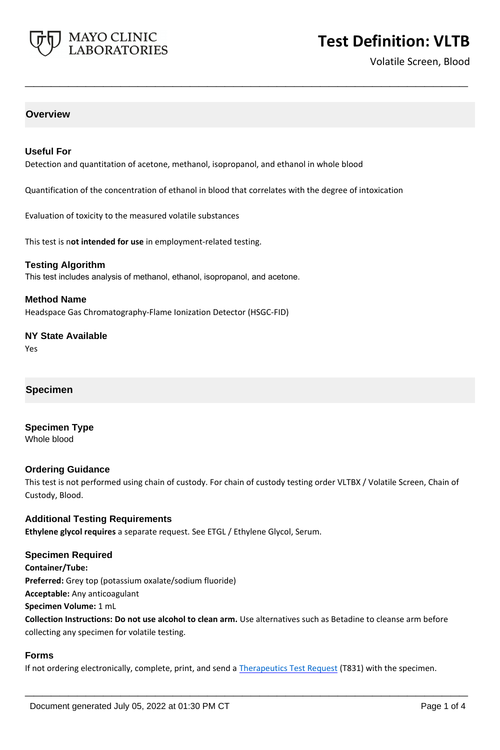

# **Test Definition: VLTB**

Volatile Screen, Blood

## **Overview**

## **Useful For**

Detection and quantitation of acetone, methanol, isopropanol, and ethanol in whole blood

Quantification of the concentration of ethanol in blood that correlates with the degree of intoxication

**\_\_\_\_\_\_\_\_\_\_\_\_\_\_\_\_\_\_\_\_\_\_\_\_\_\_\_\_\_\_\_\_\_\_\_\_\_\_\_\_\_\_\_\_\_\_\_\_\_\_\_**

Evaluation of toxicity to the measured volatile substances

This test is n**ot intended for use** in employment-related testing.

**Testing Algorithm** This test includes analysis of methanol, ethanol, isopropanol, and acetone.

#### **Method Name**

Headspace Gas Chromatography-Flame Ionization Detector (HSGC-FID)

**NY State Available** Yes

#### **Specimen**

**Specimen Type** Whole blood

#### **Ordering Guidance**

This test is not performed using chain of custody. For chain of custody testing order VLTBX / Volatile Screen, Chain of Custody, Blood.

**Additional Testing Requirements Ethylene glycol requires** a separate request. See ETGL / Ethylene Glycol, Serum.

#### **Specimen Required**

**Container/Tube: Preferred:** Grey top (potassium oxalate/sodium fluoride) **Acceptable:** Any anticoagulant

**Specimen Volume:** 1 mL

**Collection Instructions: Do not use alcohol to clean arm.** Use alternatives such as Betadine to cleanse arm before collecting any specimen for volatile testing.

#### **Forms**

If not ordering electronically, complete, print, and send a [Therapeutics Test Request](https://www.mayocliniclabs.com/it-mmfiles/Therapeutics-Requisition-Request-Form_MC0767-19.pdf) (T831) with the specimen.

**\_\_\_\_\_\_\_\_\_\_\_\_\_\_\_\_\_\_\_\_\_\_\_\_\_\_\_\_\_\_\_\_\_\_\_\_\_\_\_\_\_\_\_\_\_\_\_\_\_\_\_**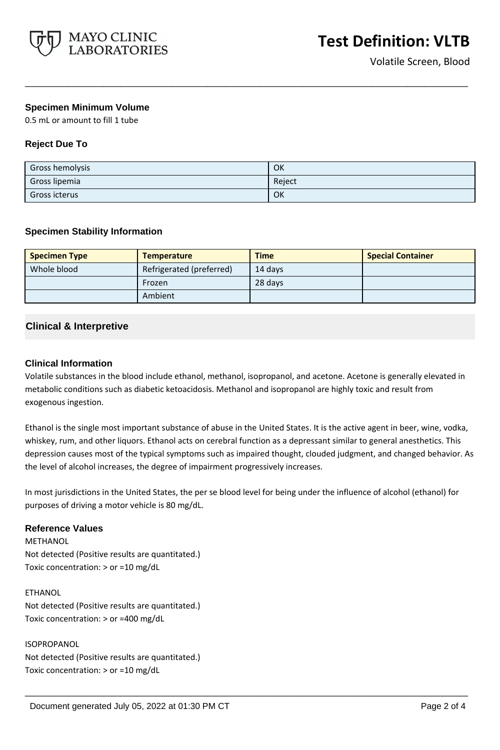

## **Specimen Minimum Volume**

0.5 mL or amount to fill 1 tube

## **Reject Due To**

| Gross hemolysis | OK     |
|-----------------|--------|
| Gross lipemia   | Reject |
| Gross icterus   | OK     |

**\_\_\_\_\_\_\_\_\_\_\_\_\_\_\_\_\_\_\_\_\_\_\_\_\_\_\_\_\_\_\_\_\_\_\_\_\_\_\_\_\_\_\_\_\_\_\_\_\_\_\_**

## **Specimen Stability Information**

| <b>Specimen Type</b> | <b>Temperature</b>       | <b>Time</b> | <b>Special Container</b> |
|----------------------|--------------------------|-------------|--------------------------|
| Whole blood          | Refrigerated (preferred) | 14 davs     |                          |
|                      | Frozen                   | 28 days     |                          |
|                      | Ambient                  |             |                          |

## **Clinical & Interpretive**

#### **Clinical Information**

Volatile substances in the blood include ethanol, methanol, isopropanol, and acetone. Acetone is generally elevated in metabolic conditions such as diabetic ketoacidosis. Methanol and isopropanol are highly toxic and result from exogenous ingestion.

Ethanol is the single most important substance of abuse in the United States. It is the active agent in beer, wine, vodka, whiskey, rum, and other liquors. Ethanol acts on cerebral function as a depressant similar to general anesthetics. This depression causes most of the typical symptoms such as impaired thought, clouded judgment, and changed behavior. As the level of alcohol increases, the degree of impairment progressively increases.

In most jurisdictions in the United States, the per se blood level for being under the influence of alcohol (ethanol) for purposes of driving a motor vehicle is 80 mg/dL.

**\_\_\_\_\_\_\_\_\_\_\_\_\_\_\_\_\_\_\_\_\_\_\_\_\_\_\_\_\_\_\_\_\_\_\_\_\_\_\_\_\_\_\_\_\_\_\_\_\_\_\_**

## **Reference Values**

METHANOL Not detected (Positive results are quantitated.) Toxic concentration: > or =10 mg/dL

#### ETHANOL

Not detected (Positive results are quantitated.) Toxic concentration: > or =400 mg/dL

#### ISOPROPANOL

Not detected (Positive results are quantitated.) Toxic concentration: > or =10 mg/dL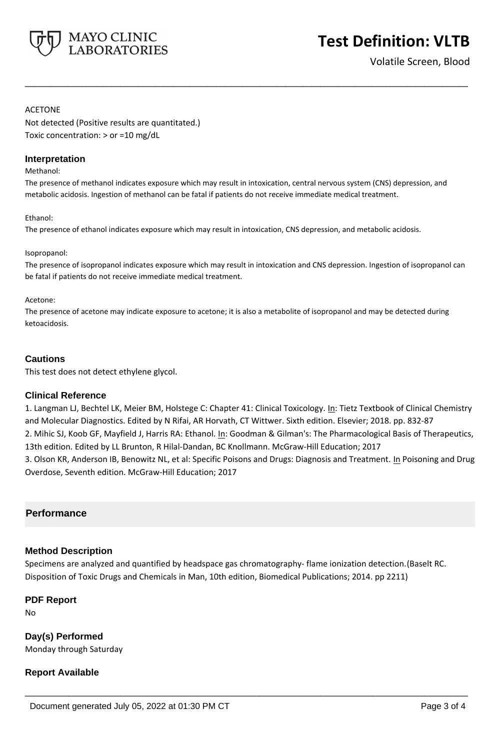

# **Test Definition: VLTB**

Volatile Screen, Blood

#### ACETONE

Not detected (Positive results are quantitated.) Toxic concentration: > or =10 mg/dL

#### **Interpretation**

#### Methanol:

The presence of methanol indicates exposure which may result in intoxication, central nervous system (CNS) depression, and metabolic acidosis. Ingestion of methanol can be fatal if patients do not receive immediate medical treatment.

**\_\_\_\_\_\_\_\_\_\_\_\_\_\_\_\_\_\_\_\_\_\_\_\_\_\_\_\_\_\_\_\_\_\_\_\_\_\_\_\_\_\_\_\_\_\_\_\_\_\_\_**

#### Ethanol:

The presence of ethanol indicates exposure which may result in intoxication, CNS depression, and metabolic acidosis.

#### Isopropanol:

The presence of isopropanol indicates exposure which may result in intoxication and CNS depression. Ingestion of isopropanol can be fatal if patients do not receive immediate medical treatment.

#### Acetone:

The presence of acetone may indicate exposure to acetone; it is also a metabolite of isopropanol and may be detected during ketoacidosis.

#### **Cautions**

This test does not detect ethylene glycol.

#### **Clinical Reference**

1. Langman LJ, Bechtel LK, Meier BM, Holstege C: Chapter 41: Clinical Toxicology. In: Tietz Textbook of Clinical Chemistry and Molecular Diagnostics. Edited by N Rifai, AR Horvath, CT Wittwer. Sixth edition. Elsevier; 2018. pp. 832-87 2. Mihic SJ, Koob GF, Mayfield J, Harris RA: Ethanol. In: Goodman & Gilman's: The Pharmacological Basis of Therapeutics, 13th edition. Edited by LL Brunton, R Hilal-Dandan, BC Knollmann. McGraw-Hill Education; 2017

3. Olson KR, Anderson IB, Benowitz NL, et al: Specific Poisons and Drugs: Diagnosis and Treatment. In Poisoning and Drug Overdose, Seventh edition. McGraw-Hill Education; 2017

## **Performance**

## **Method Description**

Specimens are analyzed and quantified by headspace gas chromatography- flame ionization detection.(Baselt RC. Disposition of Toxic Drugs and Chemicals in Man, 10th edition, Biomedical Publications; 2014. pp 2211)

**\_\_\_\_\_\_\_\_\_\_\_\_\_\_\_\_\_\_\_\_\_\_\_\_\_\_\_\_\_\_\_\_\_\_\_\_\_\_\_\_\_\_\_\_\_\_\_\_\_\_\_**

## **PDF Report**

No

**Day(s) Performed** Monday through Saturday

## **Report Available**